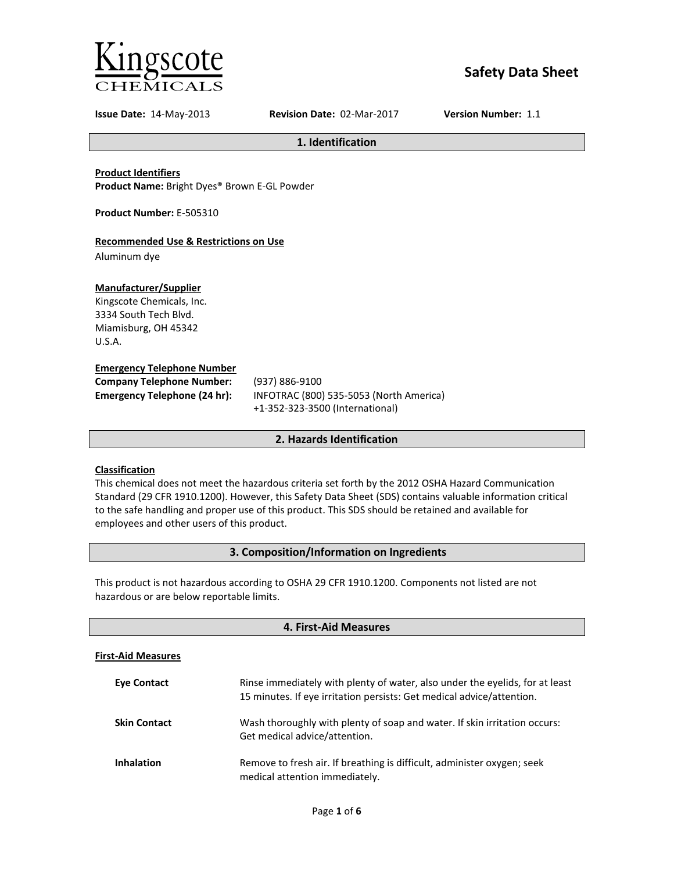

# **Safety Data Sheet**

**Issue Date:** 14-May-2013 **Revision Date:** 02-Mar-2017 **Version Number:** 1.1

**1. Identification**

**Product Identifiers**

**Product Name:** Bright Dyes® Brown E-GL Powder

**Product Number:** E-505310

# **Recommended Use & Restrictions on Use**

Aluminum dye

# **Manufacturer/Supplier**

Kingscote Chemicals, Inc. 3334 South Tech Blvd. Miamisburg, OH 45342 U.S.A.

#### **Emergency Telephone Number**

| <b>Company Telephone Number:</b> | (937)      |
|----------------------------------|------------|
| Emergency Telephone (24 hr):     | <b>INF</b> |
|                                  |            |

**Company Telephone Number:** (937) 886-9100 **Emergency Telephone (24 hr):** INFOTRAC (800) 535-5053 (North America) +1-352-323-3500 (International)

# **2. Hazards Identification**

# **Classification**

This chemical does not meet the hazardous criteria set forth by the 2012 OSHA Hazard Communication Standard (29 CFR 1910.1200). However, this Safety Data Sheet (SDS) contains valuable information critical to the safe handling and proper use of this product. This SDS should be retained and available for employees and other users of this product.

# **3. Composition/Information on Ingredients**

This product is not hazardous according to OSHA 29 CFR 1910.1200. Components not listed are not hazardous or are below reportable limits.

| 4. First-Aid Measures     |                                                                                                                                                       |  |
|---------------------------|-------------------------------------------------------------------------------------------------------------------------------------------------------|--|
| <b>First-Aid Measures</b> |                                                                                                                                                       |  |
| <b>Eve Contact</b>        | Rinse immediately with plenty of water, also under the eyelids, for at least<br>15 minutes. If eye irritation persists: Get medical advice/attention. |  |
| <b>Skin Contact</b>       | Wash thoroughly with plenty of soap and water. If skin irritation occurs:<br>Get medical advice/attention.                                            |  |
| <b>Inhalation</b>         | Remove to fresh air. If breathing is difficult, administer oxygen; seek<br>medical attention immediately.                                             |  |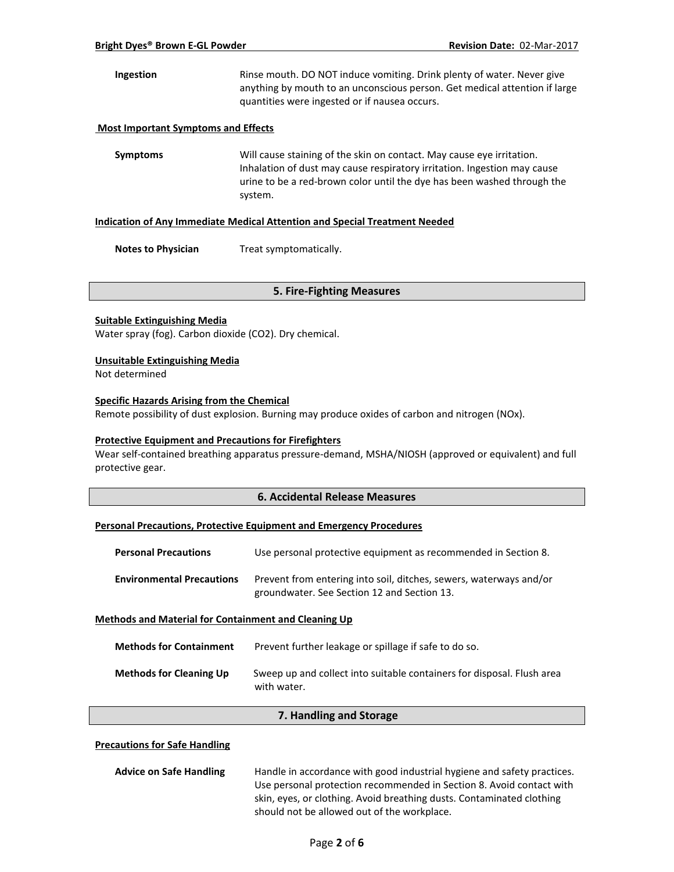**Ingestion** Rinse mouth. DO NOT induce vomiting. Drink plenty of water. Never give anything by mouth to an unconscious person. Get medical attention if large quantities were ingested or if nausea occurs.

#### **Most Important Symptoms and Effects**

**Symptoms** Will cause staining of the skin on contact. May cause eye irritation. Inhalation of dust may cause respiratory irritation. Ingestion may cause urine to be a red-brown color until the dye has been washed through the system.

#### **Indication of Any Immediate Medical Attention and Special Treatment Needed**

**Notes to Physician** Treat symptomatically.

#### **5. Fire-Fighting Measures**

#### **Suitable Extinguishing Media**

Water spray (fog). Carbon dioxide (CO2). Dry chemical.

#### **Unsuitable Extinguishing Media**

Not determined

### **Specific Hazards Arising from the Chemical**

Remote possibility of dust explosion. Burning may produce oxides of carbon and nitrogen (NOx).

#### **Protective Equipment and Precautions for Firefighters**

Wear self-contained breathing apparatus pressure-demand, MSHA/NIOSH (approved or equivalent) and full protective gear.

#### **6. Accidental Release Measures**

#### **Personal Precautions, Protective Equipment and Emergency Procedures**

| <b>Personal Precautions</b>                                 | Use personal protective equipment as recommended in Section 8.                                                    |  |
|-------------------------------------------------------------|-------------------------------------------------------------------------------------------------------------------|--|
| <b>Environmental Precautions</b>                            | Prevent from entering into soil, ditches, sewers, waterways and/or<br>groundwater. See Section 12 and Section 13. |  |
| <b>Methods and Material for Containment and Cleaning Up</b> |                                                                                                                   |  |

| <b>Methods for Containment</b> | Prevent further leakage or spillage if safe to do so.                                 |
|--------------------------------|---------------------------------------------------------------------------------------|
| <b>Methods for Cleaning Up</b> | Sweep up and collect into suitable containers for disposal. Flush area<br>with water. |

#### **7. Handling and Storage**

# **Precautions for Safe Handling**

| <b>Advice on Safe Handling</b> | Handle in accordance with good industrial hygiene and safety practices. |  |
|--------------------------------|-------------------------------------------------------------------------|--|
|                                | Use personal protection recommended in Section 8. Avoid contact with    |  |
|                                | skin, eyes, or clothing. Avoid breathing dusts. Contaminated clothing   |  |
|                                | should not be allowed out of the workplace.                             |  |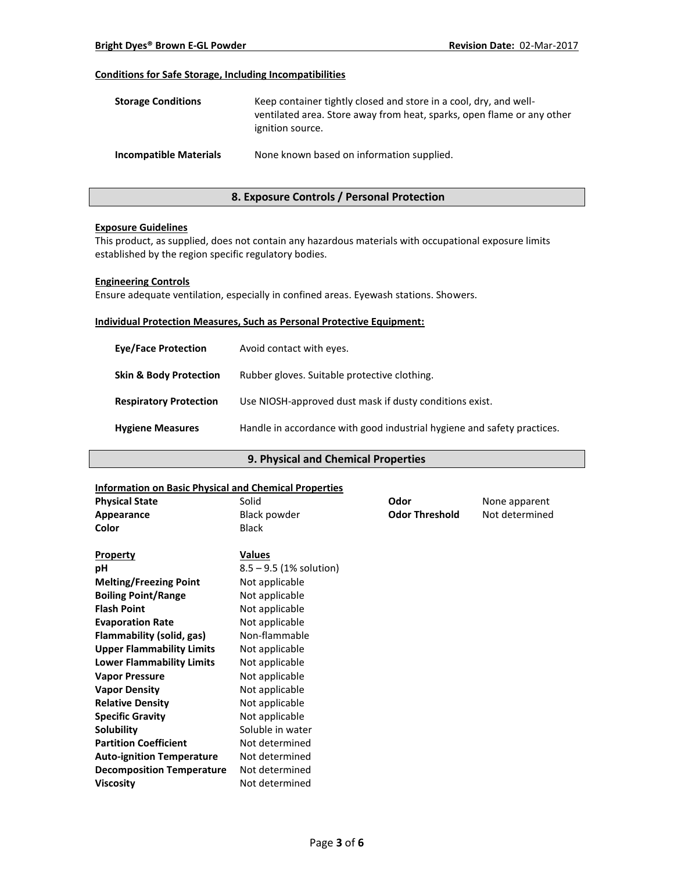# **Conditions for Safe Storage, Including Incompatibilities**

| <b>Storage Conditions</b>     | Keep container tightly closed and store in a cool, dry, and well-<br>ventilated area. Store away from heat, sparks, open flame or any other<br>ignition source. |
|-------------------------------|-----------------------------------------------------------------------------------------------------------------------------------------------------------------|
| <b>Incompatible Materials</b> | None known based on information supplied.                                                                                                                       |

# **8. Exposure Controls / Personal Protection**

#### **Exposure Guidelines**

This product, as supplied, does not contain any hazardous materials with occupational exposure limits established by the region specific regulatory bodies.

#### **Engineering Controls**

Ensure adequate ventilation, especially in confined areas. Eyewash stations. Showers.

#### **Individual Protection Measures, Such as Personal Protective Equipment:**

| <b>Eve/Face Protection</b>        | Avoid contact with eyes.                                                |
|-----------------------------------|-------------------------------------------------------------------------|
| <b>Skin &amp; Body Protection</b> | Rubber gloves. Suitable protective clothing.                            |
| <b>Respiratory Protection</b>     | Use NIOSH-approved dust mask if dusty conditions exist.                 |
| <b>Hygiene Measures</b>           | Handle in accordance with good industrial hygiene and safety practices. |

# **9. Physical and Chemical Properties**

# **Information on Basic Physical and Chemical Properties**

| mionination on basic rinysical and chemical ribberties |                           |                       |                |
|--------------------------------------------------------|---------------------------|-----------------------|----------------|
| <b>Physical State</b>                                  | Solid                     | Odor                  | None apparent  |
| Appearance                                             | Black powder              | <b>Odor Threshold</b> | Not determined |
| Color                                                  | <b>Black</b>              |                       |                |
| <b>Property</b>                                        | <b>Values</b>             |                       |                |
| pH                                                     | $8.5 - 9.5$ (1% solution) |                       |                |
| <b>Melting/Freezing Point</b>                          | Not applicable            |                       |                |
| <b>Boiling Point/Range</b>                             | Not applicable            |                       |                |
| <b>Flash Point</b>                                     | Not applicable            |                       |                |
| <b>Evaporation Rate</b>                                | Not applicable            |                       |                |
| Flammability (solid, gas)                              | Non-flammable             |                       |                |
| <b>Upper Flammability Limits</b>                       | Not applicable            |                       |                |
| <b>Lower Flammability Limits</b>                       | Not applicable            |                       |                |
| <b>Vapor Pressure</b>                                  | Not applicable            |                       |                |
| <b>Vapor Density</b>                                   | Not applicable            |                       |                |
| <b>Relative Density</b>                                | Not applicable            |                       |                |
| <b>Specific Gravity</b>                                | Not applicable            |                       |                |
| Solubility                                             | Soluble in water          |                       |                |
| <b>Partition Coefficient</b>                           | Not determined            |                       |                |
| <b>Auto-ignition Temperature</b>                       | Not determined            |                       |                |
| <b>Decomposition Temperature</b>                       | Not determined            |                       |                |
| <b>Viscosity</b>                                       | Not determined            |                       |                |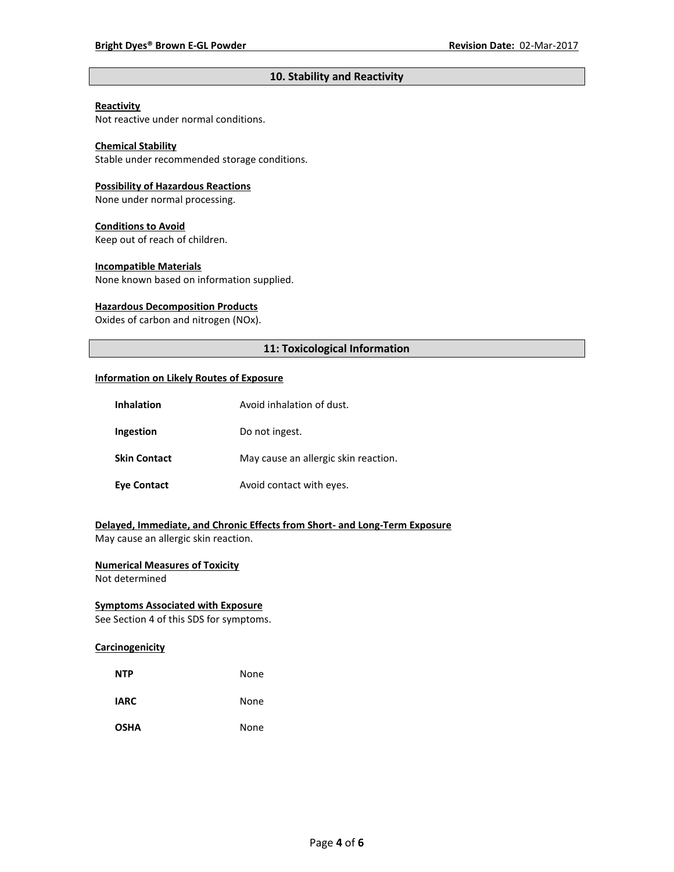# **10. Stability and Reactivity**

# **Reactivity**

Not reactive under normal conditions.

# **Chemical Stability**

Stable under recommended storage conditions.

#### **Possibility of Hazardous Reactions**

None under normal processing.

#### **Conditions to Avoid**

Keep out of reach of children.

#### **Incompatible Materials**

None known based on information supplied.

#### **Hazardous Decomposition Products**

Oxides of carbon and nitrogen (NOx).

# **11: Toxicological Information**

#### **Information on Likely Routes of Exposure**

| <b>Inhalation</b>   | Avoid inhalation of dust.            |
|---------------------|--------------------------------------|
| Ingestion           | Do not ingest.                       |
| <b>Skin Contact</b> | May cause an allergic skin reaction. |
| <b>Eye Contact</b>  | Avoid contact with eyes.             |

# **Delayed, Immediate, and Chronic Effects from Short- and Long-Term Exposure**

May cause an allergic skin reaction.

# **Numerical Measures of Toxicity**

Not determined

# **Symptoms Associated with Exposure**

See Section 4 of this SDS for symptoms.

# **Carcinogenicity**

| <b>NTP</b>  | None |
|-------------|------|
| <b>IARC</b> | None |
| <b>OSHA</b> | None |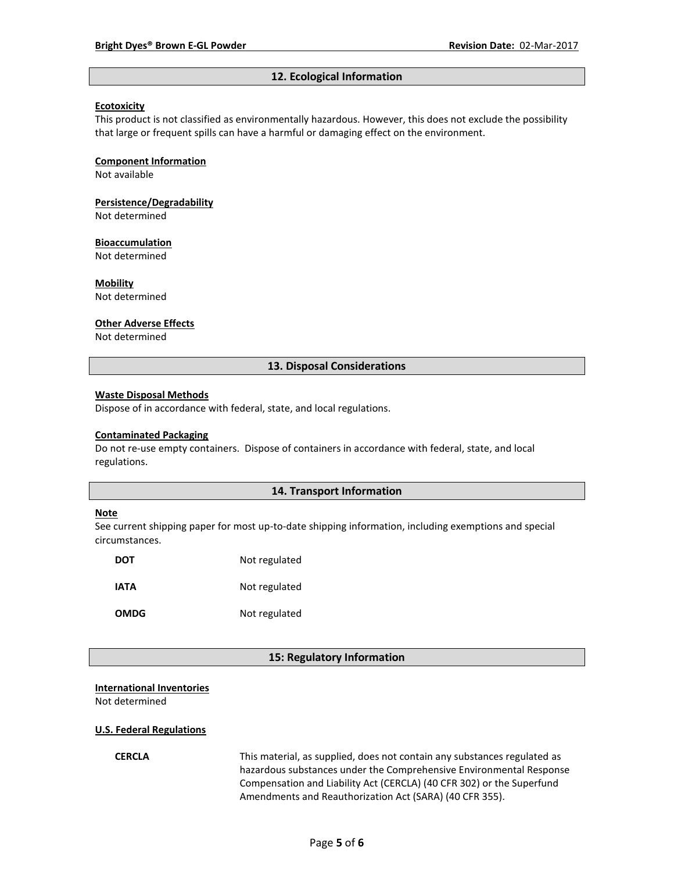#### **12. Ecological Information**

#### **Ecotoxicity**

This product is not classified as environmentally hazardous. However, this does not exclude the possibility that large or frequent spills can have a harmful or damaging effect on the environment.

#### **Component Information**

Not available

# **Persistence/Degradability**

Not determined

#### **Bioaccumulation**

Not determined

#### **Mobility**

Not determined

#### **Other Adverse Effects**

Not determined

#### **13. Disposal Considerations**

#### **Waste Disposal Methods**

Dispose of in accordance with federal, state, and local regulations.

#### **Contaminated Packaging**

Do not re-use empty containers.Dispose of containers in accordance with federal, state, and local regulations.

### **14. Transport Information**

#### **Note**

See current shipping paper for most up-to-date shipping information, including exemptions and special circumstances.

| DOT         | Not regulated |
|-------------|---------------|
| IATA        | Not regulated |
| <b>OMDG</b> | Not regulated |

#### **15: Regulatory Information**

#### **International Inventories**

Not determined

#### **U.S. Federal Regulations**

**CERCLA** This material, as supplied, does not contain any substances regulated as hazardous substances under the Comprehensive Environmental Response Compensation and Liability Act (CERCLA) (40 CFR 302) or the Superfund Amendments and Reauthorization Act (SARA) (40 CFR 355).